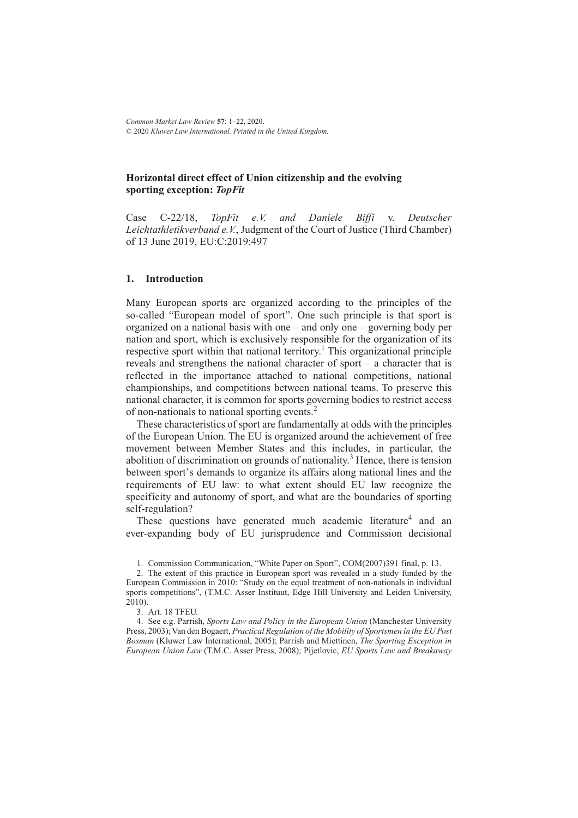*Common Market Law Review* **57**: 1–22, 2020. © 2020 *Kluwer Law International. Printed in the United Kingdom.*

# **Horizontal direct effect of Union citizenship and the evolving sporting exception:** *TopFit*

Case C-22/18, *TopFit e.V. and Daniele Biffi* v. *Deutscher Leichtathletikverband e.V.*, Judgment of the Court of Justice (Third Chamber) of 13 June 2019, EU:C:2019:497

#### **1. Introduction**

Many European sports are organized according to the principles of the so-called "European model of sport". One such principle is that sport is organized on a national basis with one – and only one – governing body per nation and sport, which is exclusively responsible for the organization of its respective sport within that national territory.<sup>1</sup> This organizational principle reveals and strengthens the national character of sport – a character that is reflected in the importance attached to national competitions, national championships, and competitions between national teams. To preserve this national character, it is common for sports governing bodies to restrict access of non-nationals to national sporting events.<sup>2</sup>

These characteristics of sport are fundamentally at odds with the principles of the European Union. The EU is organized around the achievement of free movement between Member States and this includes, in particular, the abolition of discrimination on grounds of nationality.<sup>3</sup> Hence, there is tension between sport's demands to organize its affairs along national lines and the requirements of EU law: to what extent should EU law recognize the specificity and autonomy of sport, and what are the boundaries of sporting self-regulation?

These questions have generated much academic literature<sup>4</sup> and an ever-expanding body of EU jurisprudence and Commission decisional

4. See e.g. Parrish, *Sports Law and Policy in the European Union* (Manchester University Press, 2003); Van den Bogaert, *Practical Regulation of the Mobility of Sportsmen in the EU Post Bosman* (Kluwer Law International, 2005); Parrish and Miettinen, *The Sporting Exception in European Union Law* (T.M.C. Asser Press, 2008); Pijetlovic, *EU Sports Law and Breakaway*

<sup>1.</sup> Commission Communication, "White Paper on Sport", COM(2007)391 final, p. 13.

<sup>2.</sup> The extent of this practice in European sport was revealed in a study funded by the European Commission in 2010: "Study on the equal treatment of non-nationals in individual sports competitions", (T.M.C. Asser Instituut, Edge Hill University and Leiden University, 2010).

<sup>3.</sup> Art. 18 TFEU.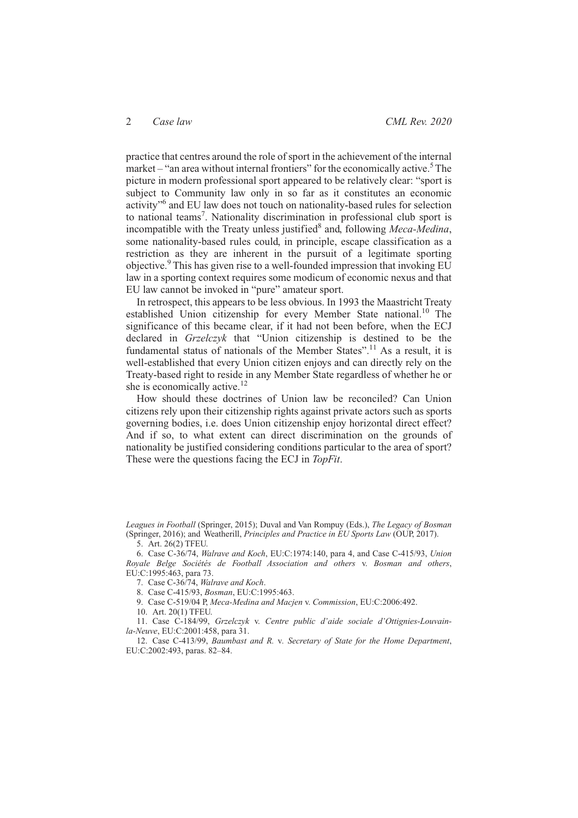practice that centres around the role of sport in the achievement of the internal market – "an area without internal frontiers" for the economically active.<sup>5</sup>The picture in modern professional sport appeared to be relatively clear: "sport is subject to Community law only in so far as it constitutes an economic activity"6 and EU law does not touch on nationality-based rules for selection to national teams<sup>7</sup>. Nationality discrimination in professional club sport is incompatible with the Treaty unless justified<sup>8</sup> and, following *Meca-Medina*, some nationality-based rules could, in principle, escape classification as a restriction as they are inherent in the pursuit of a legitimate sporting objective.9 This has given rise to a well-founded impression that invoking EU law in a sporting context requires some modicum of economic nexus and that EU law cannot be invoked in "pure" amateur sport.

In retrospect, this appears to be less obvious. In 1993 the Maastricht Treaty established Union citizenship for every Member State national.<sup>10</sup> The significance of this became clear, if it had not been before, when the ECJ declared in *Grzelczyk* that "Union citizenship is destined to be the fundamental status of nationals of the Member States".<sup>11</sup> As a result, it is well-established that every Union citizen enjoys and can directly rely on the Treaty-based right to reside in any Member State regardless of whether he or she is economically active.<sup>12</sup>

How should these doctrines of Union law be reconciled? Can Union citizens rely upon their citizenship rights against private actors such as sports governing bodies, i.e. does Union citizenship enjoy horizontal direct effect? And if so, to what extent can direct discrimination on the grounds of nationality be justified considering conditions particular to the area of sport? These were the questions facing the ECJ in *TopFit*.

*Leagues in Football* (Springer, 2015); Duval and Van Rompuy (Eds.), *The Legacy of Bosman* (Springer, 2016); and Weatherill, *Principles and Practice in EU Sports Law* (OUP, 2017).

5. Art. 26(2) TFEU.

6. Case C-36/74, *Walrave and Koch*, EU:C:1974:140, para 4, and Case C-415/93, *Union Royale Belge Sociétés de Football Association and others* v. *Bosman and others*, EU:C:1995:463, para 73.

7. Case C-36/74, *Walrave and Koch*.

8. Case C-415/93, *Bosman*, EU:C:1995:463.

9. Case C-519/04 P, *Meca-Medina and Macjen* v. *Commission*, EU:C:2006:492.

10. Art. 20(1) TFEU.

11. Case C-184/99, *Grzelczyk* v. *Centre public d'aide sociale d'Ottignies-Louvainla-Neuve*, EU:C:2001:458, para 31.

12. Case C-413/99, *Baumbast and R.* v*. Secretary of State for the Home Department*, EU:C:2002:493, paras. 82–84.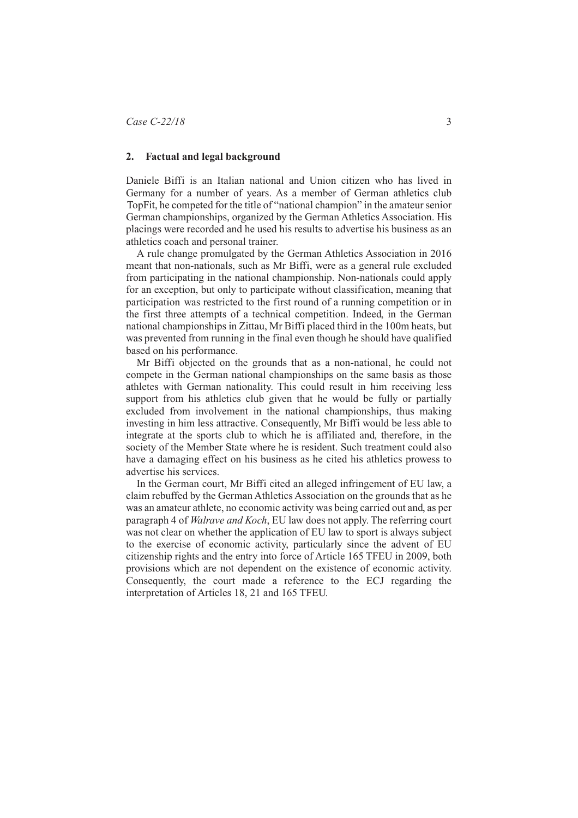# **2. Factual and legal background**

Daniele Biffi is an Italian national and Union citizen who has lived in Germany for a number of years. As a member of German athletics club TopFit, he competed for the title of "national champion" in the amateur senior German championships, organized by the German Athletics Association. His placings were recorded and he used his results to advertise his business as an athletics coach and personal trainer.

A rule change promulgated by the German Athletics Association in 2016 meant that non-nationals, such as Mr Biffi, were as a general rule excluded from participating in the national championship. Non-nationals could apply for an exception, but only to participate without classification, meaning that participation was restricted to the first round of a running competition or in the first three attempts of a technical competition. Indeed, in the German national championships in Zittau, Mr Biffi placed third in the 100m heats, but was prevented from running in the final even though he should have qualified based on his performance.

Mr Biffi objected on the grounds that as a non-national, he could not compete in the German national championships on the same basis as those athletes with German nationality. This could result in him receiving less support from his athletics club given that he would be fully or partially excluded from involvement in the national championships, thus making investing in him less attractive. Consequently, Mr Biffi would be less able to integrate at the sports club to which he is affiliated and, therefore, in the society of the Member State where he is resident. Such treatment could also have a damaging effect on his business as he cited his athletics prowess to advertise his services.

In the German court, Mr Biffi cited an alleged infringement of EU law, a claim rebuffed by the German Athletics Association on the grounds that as he was an amateur athlete, no economic activity was being carried out and, as per paragraph 4 of *Walrave and Koch*, EU law does not apply. The referring court was not clear on whether the application of EU law to sport is always subject to the exercise of economic activity, particularly since the advent of EU citizenship rights and the entry into force of Article 165 TFEU in 2009, both provisions which are not dependent on the existence of economic activity. Consequently, the court made a reference to the ECJ regarding the interpretation of Articles 18, 21 and 165 TFEU.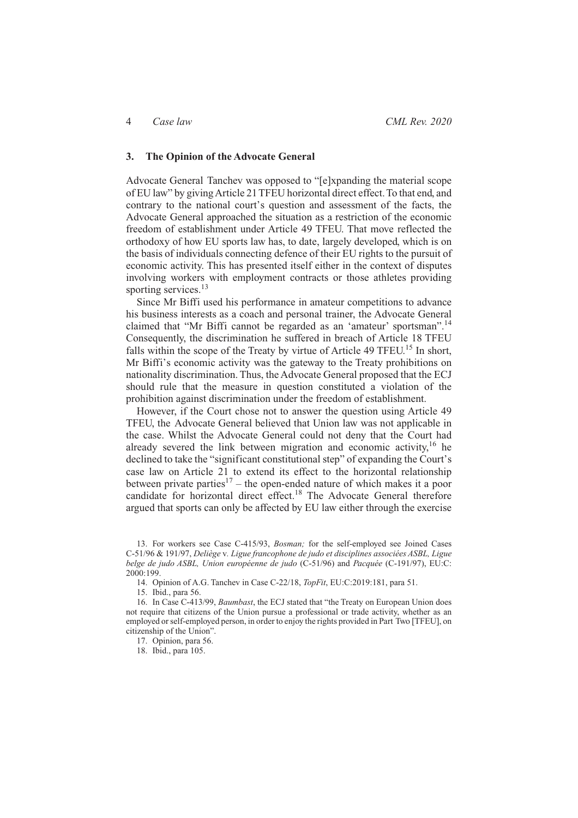### **3. The Opinion of the Advocate General**

Advocate General Tanchev was opposed to "[e]xpanding the material scope of EU law" by givingArticle 21 TFEU horizontal direct effect. To that end, and contrary to the national court's question and assessment of the facts, the Advocate General approached the situation as a restriction of the economic freedom of establishment under Article 49 TFEU. That move reflected the orthodoxy of how EU sports law has, to date, largely developed, which is on the basis of individuals connecting defence of their EU rights to the pursuit of economic activity. This has presented itself either in the context of disputes involving workers with employment contracts or those athletes providing sporting services.<sup>13</sup>

Since Mr Biffi used his performance in amateur competitions to advance his business interests as a coach and personal trainer, the Advocate General claimed that "Mr Biffi cannot be regarded as an 'amateur' sportsman".<sup>14</sup> Consequently, the discrimination he suffered in breach of Article 18 TFEU falls within the scope of the Treaty by virtue of Article 49 TFEU.<sup>15</sup> In short, Mr Biffi's economic activity was the gateway to the Treaty prohibitions on nationality discrimination. Thus, the Advocate General proposed that the ECJ should rule that the measure in question constituted a violation of the prohibition against discrimination under the freedom of establishment.

However, if the Court chose not to answer the question using Article 49 TFEU, the Advocate General believed that Union law was not applicable in the case. Whilst the Advocate General could not deny that the Court had already severed the link between migration and economic activity, $16$  he declined to take the "significant constitutional step" of expanding the Court's case law on Article 21 to extend its effect to the horizontal relationship between private parties<sup>17</sup> – the open-ended nature of which makes it a poor candidate for horizontal direct effect.<sup>18</sup> The Advocate General therefore argued that sports can only be affected by EU law either through the exercise

<sup>13.</sup> For workers see Case C-415/93, *Bosman;* for the self-employed see Joined Cases C-51/96 & 191/97, *Deliège* v*. Ligue francophone de judo et disciplines associées ASBL, Ligue belge de judo ASBL, Union européenne de judo* (C-51/96) and *Pacquée* (C-191/97), EU:C: 2000:199.

<sup>14.</sup> Opinion of A.G. Tanchev in Case C-22/18, *TopFit*, EU:C:2019:181, para 51.

<sup>15.</sup> Ibid., para 56.

<sup>16.</sup> In Case C-413/99, *Baumbast*, the ECJ stated that "the Treaty on European Union does not require that citizens of the Union pursue a professional or trade activity, whether as an employed or self-employed person, in order to enjoy the rights provided in Part Two [TFEU], on citizenship of the Union".

<sup>17.</sup> Opinion, para 56.

<sup>18.</sup> Ibid., para 105.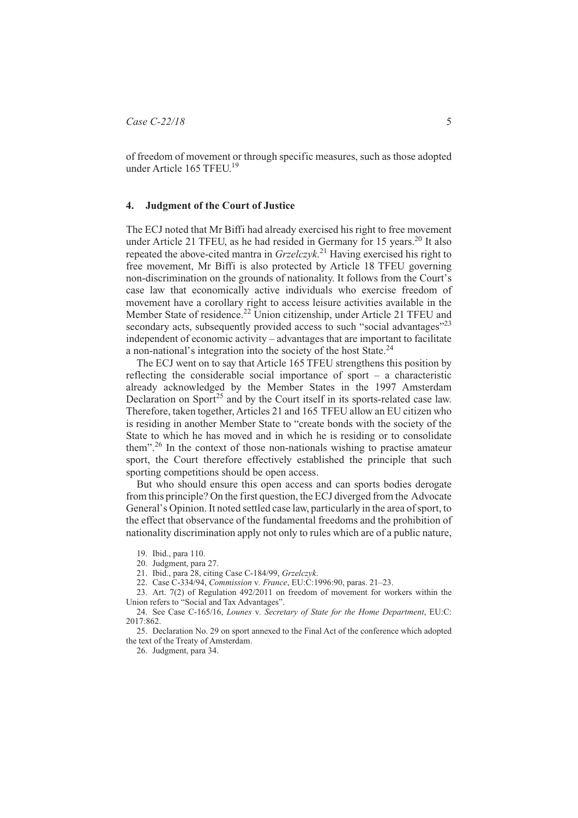of freedom of movement or through specific measures, such as those adopted under Article 165 TFEU.<sup>19</sup>

### **4. Judgment of the Court of Justice**

The ECJ noted that Mr Biffi had already exercised his right to free movement under Article 21 TFEU, as he had resided in Germany for 15 years.<sup>20</sup> It also repeated the above-cited mantra in *Grzelczyk*. <sup>21</sup> Having exercised his right to free movement, Mr Biffi is also protected by Article 18 TFEU governing non-discrimination on the grounds of nationality. It follows from the Court's case law that economically active individuals who exercise freedom of movement have a corollary right to access leisure activities available in the Member State of residence.<sup>22</sup> Union citizenship, under Article 21 TFEU and secondary acts, subsequently provided access to such "social advantages"<sup>23</sup> independent of economic activity – advantages that are important to facilitate a non-national's integration into the society of the host State.<sup>24</sup>

The ECJ went on to say that Article 165 TFEU strengthens this position by reflecting the considerable social importance of sport – a characteristic already acknowledged by the Member States in the 1997 Amsterdam Declaration on Sport<sup>25</sup> and by the Court itself in its sports-related case law. Therefore, taken together, Articles 21 and 165 TFEU allow an EU citizen who is residing in another Member State to "create bonds with the society of the State to which he has moved and in which he is residing or to consolidate them".<sup>26</sup> In the context of those non-nationals wishing to practise amateur sport, the Court therefore effectively established the principle that such sporting competitions should be open access.

But who should ensure this open access and can sports bodies derogate from this principle? On the first question, the ECJ diverged from the Advocate General's Opinion. It noted settled case law, particularly in the area of sport, to the effect that observance of the fundamental freedoms and the prohibition of nationality discrimination apply not only to rules which are of a public nature,

21. Ibid., para 28, citing Case C-184/99, *Grzelczyk*.

22. Case C-334/94, *Commission* v*. France*, EU:C:1996:90, paras. 21–23.

23. Art. 7(2) of Regulation 492/2011 on freedom of movement for workers within the Union refers to "Social and Tax Advantages".

24. See Case C-165/16, *Lounes* v*. Secretary of State for the Home Department*, EU:C: 2017:862.

25. Declaration No. 29 on sport annexed to the Final Act of the conference which adopted the text of the Treaty of Amsterdam.

26. Judgment, para 34.

<sup>19.</sup> Ibid., para 110.

<sup>20.</sup> Judgment, para 27.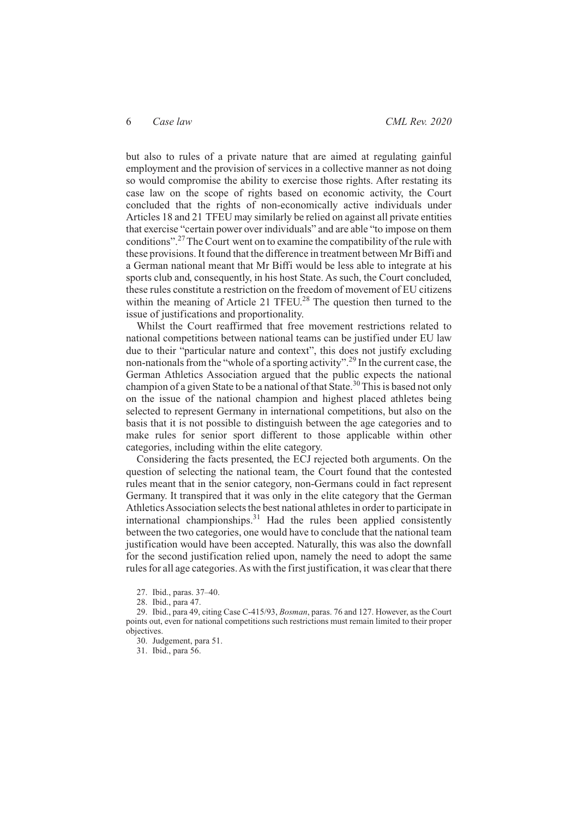but also to rules of a private nature that are aimed at regulating gainful employment and the provision of services in a collective manner as not doing so would compromise the ability to exercise those rights. After restating its case law on the scope of rights based on economic activity, the Court concluded that the rights of non-economically active individuals under Articles 18 and 21 TFEU may similarly be relied on against all private entities that exercise "certain power over individuals" and are able "to impose on them conditions".27The Court went on to examine the compatibility of the rule with these provisions. It found that the difference in treatment between Mr Biffi and a German national meant that Mr Biffi would be less able to integrate at his sports club and, consequently, in his host State. As such, the Court concluded, these rules constitute a restriction on the freedom of movement of EU citizens within the meaning of Article 21 TFEU.<sup>28</sup> The question then turned to the issue of justifications and proportionality.

Whilst the Court reaffirmed that free movement restrictions related to national competitions between national teams can be justified under EU law due to their "particular nature and context", this does not justify excluding non-nationals from the "whole of a sporting activity".<sup>29</sup> In the current case, the German Athletics Association argued that the public expects the national champion of a given State to be a national of that State.<sup>30</sup>This is based not only on the issue of the national champion and highest placed athletes being selected to represent Germany in international competitions, but also on the basis that it is not possible to distinguish between the age categories and to make rules for senior sport different to those applicable within other categories, including within the elite category.

Considering the facts presented, the ECJ rejected both arguments. On the question of selecting the national team, the Court found that the contested rules meant that in the senior category, non-Germans could in fact represent Germany. It transpired that it was only in the elite category that the German AthleticsAssociation selects the best national athletes in order to participate in international championships. $31$  Had the rules been applied consistently between the two categories, one would have to conclude that the national team justification would have been accepted. Naturally, this was also the downfall for the second justification relied upon, namely the need to adopt the same rules for all age categories.As with the first justification, it was clear that there

27. Ibid., paras. 37–40.

28. Ibid., para 47.

29. Ibid., para 49, citing Case C-415/93, *Bosman*, paras. 76 and 127. However, as the Court points out, even for national competitions such restrictions must remain limited to their proper objectives.

30. Judgement, para 51.

31. Ibid., para 56.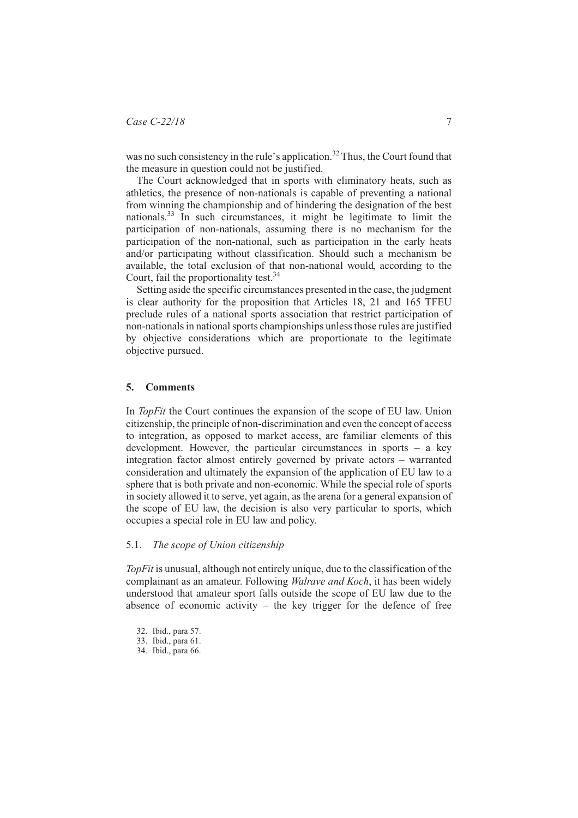was no such consistency in the rule's application.<sup>32</sup> Thus, the Court found that the measure in question could not be justified.

The Court acknowledged that in sports with eliminatory heats, such as athletics, the presence of non-nationals is capable of preventing a national from winning the championship and of hindering the designation of the best nationals.33 In such circumstances, it might be legitimate to limit the participation of non-nationals, assuming there is no mechanism for the participation of the non-national, such as participation in the early heats and/or participating without classification. Should such a mechanism be available, the total exclusion of that non-national would, according to the Court, fail the proportionality test.<sup>34</sup>

Setting aside the specific circumstances presented in the case, the judgment is clear authority for the proposition that Articles 18, 21 and 165 TFEU preclude rules of a national sports association that restrict participation of non-nationals in national sports championships unless those rules are justified by objective considerations which are proportionate to the legitimate objective pursued.

### **5. Comments**

In *TopFit* the Court continues the expansion of the scope of EU law. Union citizenship, the principle of non-discrimination and even the concept of access to integration, as opposed to market access, are familiar elements of this development. However, the particular circumstances in sports – a key integration factor almost entirely governed by private actors – warranted consideration and ultimately the expansion of the application of EU law to a sphere that is both private and non-economic. While the special role of sports in society allowed it to serve, yet again, as the arena for a general expansion of the scope of EU law, the decision is also very particular to sports, which occupies a special role in EU law and policy.

# 5.1. *The scope of Union citizenship*

*TopFit* is unusual, although not entirely unique, due to the classification of the complainant as an amateur. Following *Walrave and Koch*, it has been widely understood that amateur sport falls outside the scope of EU law due to the absence of economic activity  $-$  the key trigger for the defence of free

<sup>32.</sup> Ibid., para 57.

<sup>33.</sup> Ibid., para 61.

<sup>34.</sup> Ibid., para 66.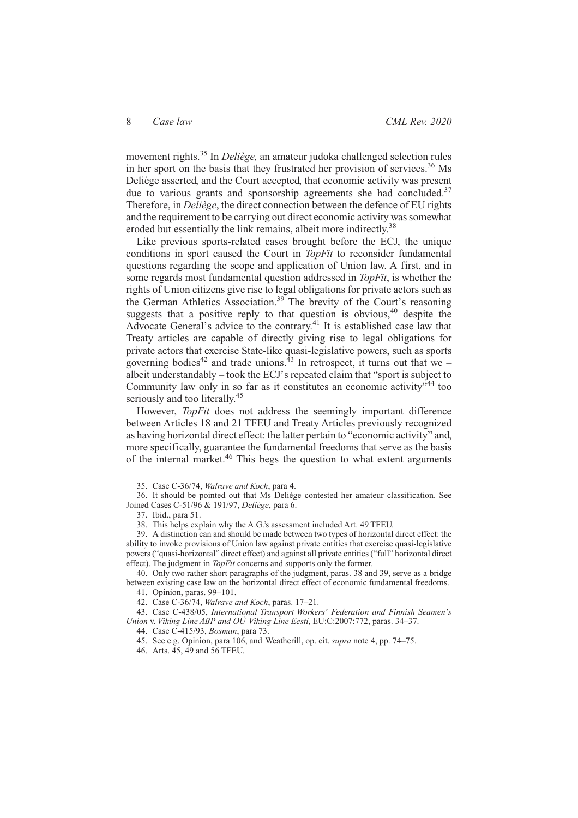movement rights.<sup>35</sup> In *Deliège,* an amateur judoka challenged selection rules in her sport on the basis that they frustrated her provision of services.<sup>36</sup> Ms Deliège asserted, and the Court accepted, that economic activity was present due to various grants and sponsorship agreements she had concluded.<sup>37</sup> Therefore, in *Deliège*, the direct connection between the defence of EU rights and the requirement to be carrying out direct economic activity was somewhat eroded but essentially the link remains, albeit more indirectly.<sup>38</sup>

Like previous sports-related cases brought before the ECJ, the unique conditions in sport caused the Court in *TopFit* to reconsider fundamental questions regarding the scope and application of Union law. A first, and in some regards most fundamental question addressed in *TopFit*, is whether the rights of Union citizens give rise to legal obligations for private actors such as the German Athletics Association.<sup>39</sup> The brevity of the Court's reasoning suggests that a positive reply to that question is obvious,  $40$  despite the Advocate General's advice to the contrary.<sup>41</sup> It is established case law that Treaty articles are capable of directly giving rise to legal obligations for private actors that exercise State-like quasi-legislative powers, such as sports governing bodies<sup>42</sup> and trade unions.<sup>43</sup> In retrospect, it turns out that we – albeit understandably – took the ECJ's repeated claim that "sport is subject to Community law only in so far as it constitutes an economic activity"<sup>44</sup> too seriously and too literally.<sup>45</sup>

However, *TopFit* does not address the seemingly important difference between Articles 18 and 21 TFEU and Treaty Articles previously recognized as having horizontal direct effect: the latter pertain to "economic activity" and, more specifically, guarantee the fundamental freedoms that serve as the basis of the internal market.<sup>46</sup> This begs the question to what extent arguments

35. Case C-36/74, *Walrave and Koch*, para 4.

36. It should be pointed out that Ms Deliège contested her amateur classification. See Joined Cases C-51/96 & 191/97, *Deliège*, para 6.

37. Ibid., para 51.

38. This helps explain why the A.G.'s assessment included Art. 49 TFEU.

39. A distinction can and should be made between two types of horizontal direct effect: the ability to invoke provisions of Union law against private entities that exercise quasi-legislative powers ("quasi-horizontal" direct effect) and against all private entities ("full" horizontal direct effect). The judgment in *TopFit* concerns and supports only the former.

40. Only two rather short paragraphs of the judgment, paras. 38 and 39, serve as a bridge between existing case law on the horizontal direct effect of economic fundamental freedoms. 41. Opinion, paras. 99–101.

42. Case C-36/74, *Walrave and Koch*, paras. 17–21.

43. Case C-438/05, *International Transport Workers' Federation and Finnish Seamen's Union* v. *Viking Line ABP and OÜ Viking Line Eesti*, EU:C:2007:772, paras. 34–37.

44. Case C-415/93, *Bosman*, para 73.

45. See e.g. Opinion, para 106, and Weatherill, op. cit. *supra* note 4, pp. 74–75.

46. Arts. 45, 49 and 56 TFEU.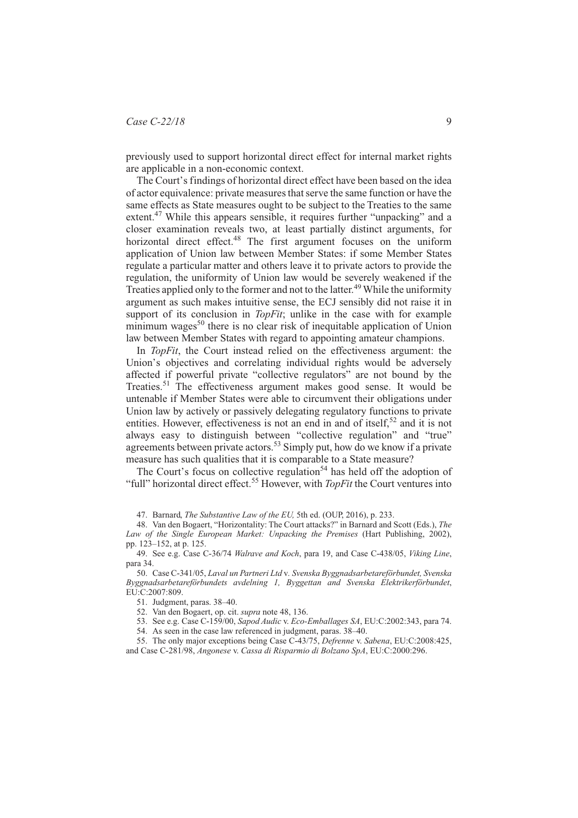previously used to support horizontal direct effect for internal market rights are applicable in a non-economic context.

The Court's findings of horizontal direct effect have been based on the idea of actor equivalence: private measures that serve the same function or have the same effects as State measures ought to be subject to the Treaties to the same extent.<sup>47</sup> While this appears sensible, it requires further "unpacking" and a closer examination reveals two, at least partially distinct arguments, for horizontal direct effect.<sup>48</sup> The first argument focuses on the uniform application of Union law between Member States: if some Member States regulate a particular matter and others leave it to private actors to provide the regulation, the uniformity of Union law would be severely weakened if the Treaties applied only to the former and not to the latter.<sup>49</sup> While the uniformity argument as such makes intuitive sense, the ECJ sensibly did not raise it in support of its conclusion in *TopFit*; unlike in the case with for example minimum wages<sup>50</sup> there is no clear risk of inequitable application of Union law between Member States with regard to appointing amateur champions.

In *TopFit*, the Court instead relied on the effectiveness argument: the Union's objectives and correlating individual rights would be adversely affected if powerful private "collective regulators" are not bound by the Treaties.51 The effectiveness argument makes good sense. It would be untenable if Member States were able to circumvent their obligations under Union law by actively or passively delegating regulatory functions to private entities. However, effectiveness is not an end in and of itself,  $52$  and it is not always easy to distinguish between "collective regulation" and "true" arrings and the actors.<sup>53</sup> Simply put, how do we know if a private measure has such qualities that it is comparable to a State measure?

The Court's focus on collective regulation<sup>54</sup> has held off the adoption of "full" horizontal direct effect.<sup>55</sup> However, with *TopFit* the Court ventures into

47. Barnard, *The Substantive Law of the EU,* 5th ed. (OUP, 2016), p. 233.

48. Van den Bogaert, "Horizontality: The Court attacks?" in Barnard and Scott (Eds.), *The Law of the Single European Market: Unpacking the Premises* (Hart Publishing, 2002), pp. 123–152, at p. 125.

49. See e.g. Case C-36/74 *Walrave and Koch*, para 19, and Case C-438/05, *Viking Line*, para 34.

50. Case C-341/05, *Laval un Partneri Ltd* v*. Svenska Byggnadsarbetareförbundet, Svenska Byggnadsarbetareförbundets avdelning 1, Byggettan and Svenska Elektrikerförbundet*, EU:C:2007:809

51. Judgment, paras. 38–40.

52. Van den Bogaert, op. cit. *supra* note 48, 136.

53. See e.g. Case C-159/00, *Sapod Audic* v. *Eco-Emballages SA*, EU:C:2002:343, para 74. 54. As seen in the case law referenced in judgment, paras. 38–40.

55. The only major exceptions being Case C-43/75, *Defrenne* v. *Sabena*, EU:C:2008:425, and Case C-281/98, *Angonese* v. *Cassa di Risparmio di Bolzano SpA*, EU:C:2000:296.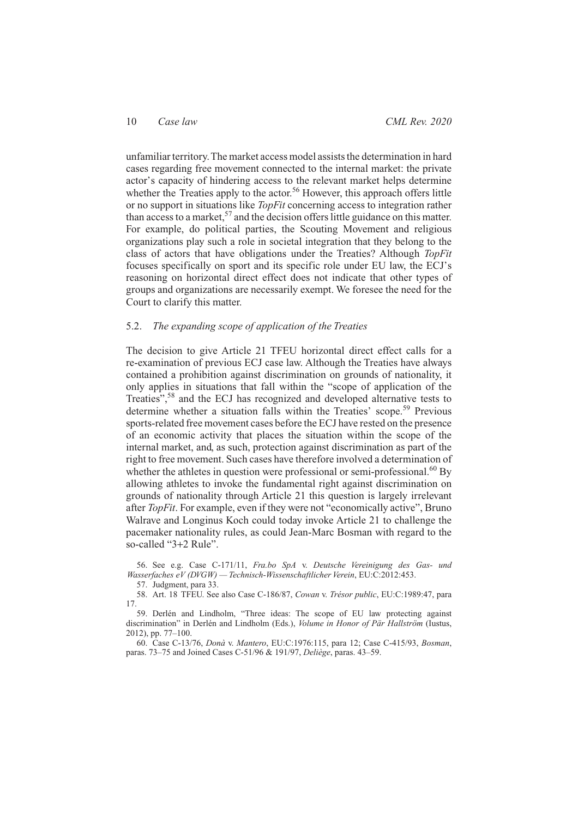unfamiliar territory.The market access model assists the determination in hard cases regarding free movement connected to the internal market: the private actor's capacity of hindering access to the relevant market helps determine whether the Treaties apply to the actor.<sup>56</sup> However, this approach offers little or no support in situations like *TopFit* concerning access to integration rather than access to a market,  $57$  and the decision offers little guidance on this matter. For example, do political parties, the Scouting Movement and religious organizations play such a role in societal integration that they belong to the class of actors that have obligations under the Treaties? Although *TopFit* focuses specifically on sport and its specific role under EU law, the ECJ's reasoning on horizontal direct effect does not indicate that other types of groups and organizations are necessarily exempt. We foresee the need for the Court to clarify this matter.

# 5.2. *The expanding scope of application of the Treaties*

The decision to give Article 21 TFEU horizontal direct effect calls for a re-examination of previous ECJ case law. Although the Treaties have always contained a prohibition against discrimination on grounds of nationality, it only applies in situations that fall within the "scope of application of the Treaties",<sup>58</sup> and the ECJ has recognized and developed alternative tests to determine whether a situation falls within the Treaties' scope.<sup>59</sup> Previous sports-related free movement cases before the ECJ have rested on the presence of an economic activity that places the situation within the scope of the internal market, and, as such, protection against discrimination as part of the right to free movement. Such cases have therefore involved a determination of whether the athletes in question were professional or semi-professional.<sup>60</sup> By allowing athletes to invoke the fundamental right against discrimination on grounds of nationality through Article 21 this question is largely irrelevant after *TopFit*. For example, even if they were not "economically active", Bruno Walrave and Longinus Koch could today invoke Article 21 to challenge the pacemaker nationality rules, as could Jean-Marc Bosman with regard to the so-called "3+2 Rule".

56. See e.g. Case C-171/11, *Fra.bo SpA* v. *Deutsche Vereinigung des Gas- und Wasserfaches eV (DVGW) — Technisch-Wissenschaftlicher Verein*, EU:C:2012:453.

57. Judgment, para 33.

58. Art. 18 TFEU. See also Case C-186/87, *Cowan* v. *Trésor public*, EU:C:1989:47, para 17.

59. Derlén and Lindholm, "Three ideas: The scope of EU law protecting against discrimination" in Derlén and Lindholm (Eds.), *Volume in Honor of Pär Hallström* (Iustus, 2012), pp. 77–100.

60. Case C-13/76, *Donà* v. *Mantero*, EU:C:1976:115, para 12; Case C-415/93, *Bosman*, paras. 73–75 and Joined Cases C-51/96 & 191/97, *Deliège*, paras. 43–59.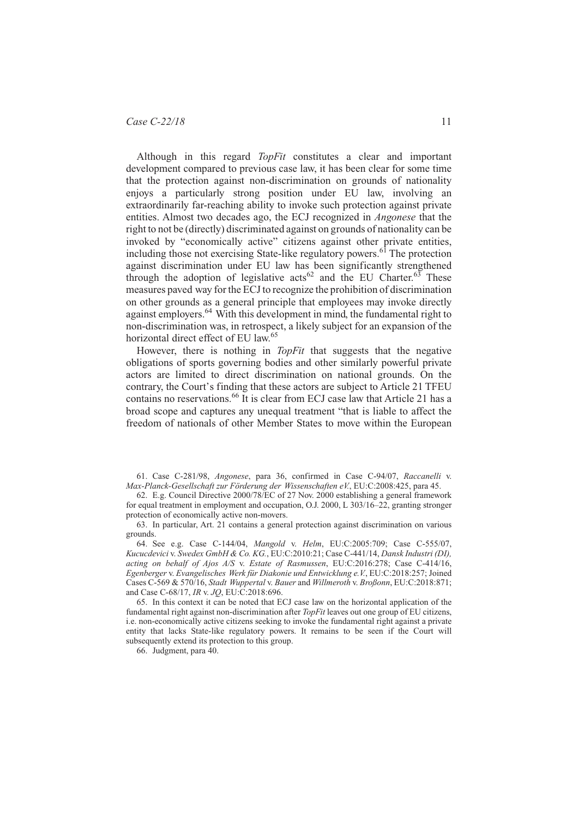# *Case C-22/18* 11

Although in this regard *TopFit* constitutes a clear and important development compared to previous case law, it has been clear for some time that the protection against non-discrimination on grounds of nationality enjoys a particularly strong position under EU law, involving an extraordinarily far-reaching ability to invoke such protection against private entities. Almost two decades ago, the ECJ recognized in *Angonese* that the right to not be (directly) discriminated against on grounds of nationality can be invoked by "economically active" citizens against other private entities, including those not exercising State-like regulatory powers.<sup> $6\overline{1}$ </sup> The protection against discrimination under EU law has been significantly strengthened through the adoption of legislative  $\arccos 62$  and the EU Charter.<sup>63</sup> These measures paved way for the ECJ to recognize the prohibition of discrimination on other grounds as a general principle that employees may invoke directly against employers.<sup>64</sup> With this development in mind, the fundamental right to non-discrimination was, in retrospect, a likely subject for an expansion of the horizontal direct effect of EU law.<sup>65</sup>

However, there is nothing in *TopFit* that suggests that the negative obligations of sports governing bodies and other similarly powerful private actors are limited to direct discrimination on national grounds. On the contrary, the Court's finding that these actors are subject to Article 21 TFEU contains no reservations.<sup>66</sup> It is clear from ECJ case law that Article 21 has a broad scope and captures any unequal treatment "that is liable to affect the freedom of nationals of other Member States to move within the European

61. Case C-281/98, *Angonese*, para 36, confirmed in Case C-94/07, *Raccanelli* v. *Max-Planck-Gesellschaft zur Förderung der Wissenschaften eV.*, EU:C:2008:425, para 45.

62. E.g. Council Directive 2000/78/EC of 27 Nov. 2000 establishing a general framework for equal treatment in employment and occupation, O.J. 2000, L 303/16–22, granting stronger protection of economically active non-movers.

63. In particular, Art. 21 contains a general protection against discrimination on various grounds.

64. See e.g. Case C-144/04, *Mangold* v. *Helm*, EU:C:2005:709; Case C-555/07, *Kucucdevici* v. *Swedex GmbH & Co. KG.*, EU:C:2010:21; Case C-441/14, *Dansk Industri (DI), acting on behalf of Ajos A/S* v. *Estate of Rasmussen*, EU:C:2016:278; Case C-414/16, *Egenberger* v. *Evangelisches Werk für Diakonie und Entwicklung e.V.*, EU:C:2018:257; Joined Cases C-569 & 570/16, *Stadt Wuppertal* v. *Bauer* and *Willmeroth* v. *Broßonn*, EU:C:2018:871; and Case C-68/17, *IR* v. *JQ*, EU:C:2018:696.

65. In this context it can be noted that ECJ case law on the horizontal application of the fundamental right against non-discrimination after *TopFit* leaves out one group of EU citizens, i.e. non-economically active citizens seeking to invoke the fundamental right against a private entity that lacks State-like regulatory powers. It remains to be seen if the Court will subsequently extend its protection to this group.

66. Judgment, para 40.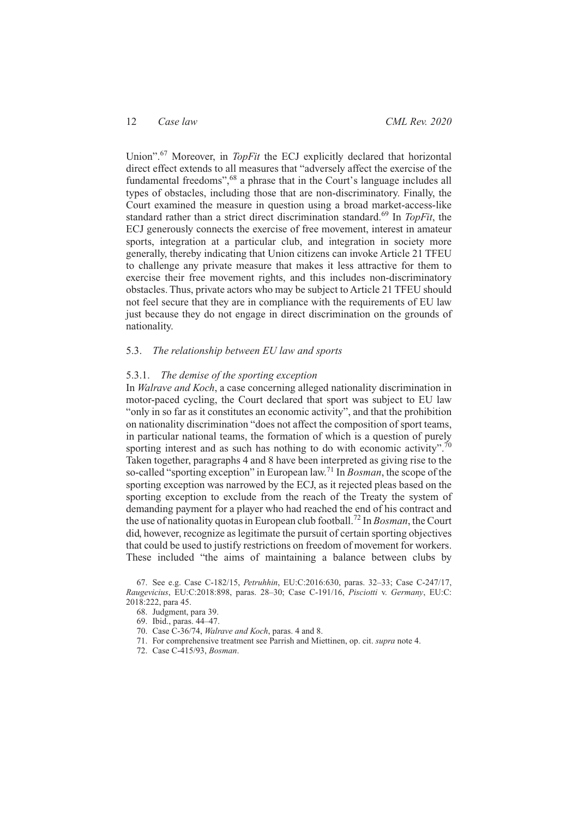Union".<sup>67</sup> Moreover, in *TopFit* the ECJ explicitly declared that horizontal direct effect extends to all measures that "adversely affect the exercise of the fundamental freedoms",<sup>68</sup> a phrase that in the Court's language includes all types of obstacles, including those that are non-discriminatory. Finally, the Court examined the measure in question using a broad market-access-like standard rather than a strict direct discrimination standard.<sup>69</sup> In *TopFit*, the ECJ generously connects the exercise of free movement, interest in amateur sports, integration at a particular club, and integration in society more generally, thereby indicating that Union citizens can invoke Article 21 TFEU to challenge any private measure that makes it less attractive for them to exercise their free movement rights, and this includes non-discriminatory obstacles. Thus, private actors who may be subject to Article 21 TFEU should not feel secure that they are in compliance with the requirements of EU law just because they do not engage in direct discrimination on the grounds of nationality.

### 5.3. *The relationship between EU law and sports*

#### 5.3.1. *The demise of the sporting exception*

In *Walrave and Koch*, a case concerning alleged nationality discrimination in motor-paced cycling, the Court declared that sport was subject to EU law "only in so far as it constitutes an economic activity", and that the prohibition on nationality discrimination "does not affect the composition of sport teams, in particular national teams, the formation of which is a question of purely sporting interest and as such has nothing to do with economic activity". Taken together, paragraphs 4 and 8 have been interpreted as giving rise to the so-called "sporting exception" in European law.<sup>71</sup> In *Bosman*, the scope of the sporting exception was narrowed by the ECJ, as it rejected pleas based on the sporting exception to exclude from the reach of the Treaty the system of demanding payment for a player who had reached the end of his contract and the use of nationality quotas in European club football.72 In *Bosman*, the Court did, however, recognize as legitimate the pursuit of certain sporting objectives that could be used to justify restrictions on freedom of movement for workers. These included "the aims of maintaining a balance between clubs by

67. See e.g. Case C-182/15, *Petruhhin*, EU:C:2016:630, paras. 32–33; Case C-247/17, *Raugevicius*, EU:C:2018:898, paras. 28–30; Case C-191/16, *Pisciotti* v. *Germany*, EU:C: 2018:222, para 45.

- 69. Ibid., paras. 44–47.
- 70. Case C-36/74, *Walrave and Koch*, paras. 4 and 8.
- 71. For comprehensive treatment see Parrish and Miettinen, op. cit. *supra* note 4.
- 72. Case C-415/93, *Bosman*.

<sup>68.</sup> Judgment, para 39.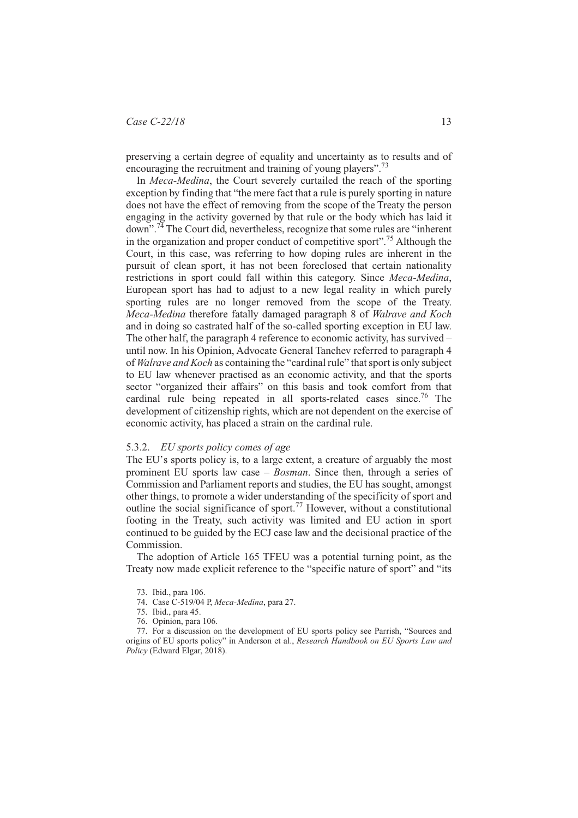# *Case C-22/18* 13

preserving a certain degree of equality and uncertainty as to results and of encouraging the recruitment and training of young players".<sup>73</sup>

In *Meca-Medina*, the Court severely curtailed the reach of the sporting exception by finding that "the mere fact that a rule is purely sporting in nature does not have the effect of removing from the scope of the Treaty the person engaging in the activity governed by that rule or the body which has laid it down".<sup>74</sup> The Court did, nevertheless, recognize that some rules are "inherent in the organization and proper conduct of competitive sport".75 Although the Court, in this case, was referring to how doping rules are inherent in the pursuit of clean sport, it has not been foreclosed that certain nationality restrictions in sport could fall within this category. Since *Meca-Medina*, European sport has had to adjust to a new legal reality in which purely sporting rules are no longer removed from the scope of the Treaty. *Meca-Medina* therefore fatally damaged paragraph 8 of *Walrave and Koch* and in doing so castrated half of the so-called sporting exception in EU law. The other half, the paragraph 4 reference to economic activity, has survived – until now. In his Opinion, Advocate General Tanchev referred to paragraph 4 of *Walrave and Koch* as containing the "cardinal rule" that sport is only subject to EU law whenever practised as an economic activity, and that the sports sector "organized their affairs" on this basis and took comfort from that cardinal rule being repeated in all sports-related cases since.<sup>76</sup> The development of citizenship rights, which are not dependent on the exercise of economic activity, has placed a strain on the cardinal rule.

#### 5.3.2. *EU sports policy comes of age*

The EU's sports policy is, to a large extent, a creature of arguably the most prominent EU sports law case – *Bosman*. Since then, through a series of Commission and Parliament reports and studies, the EU has sought, amongst other things, to promote a wider understanding of the specificity of sport and outline the social significance of sport.77 However, without a constitutional footing in the Treaty, such activity was limited and EU action in sport continued to be guided by the ECJ case law and the decisional practice of the Commission.

The adoption of Article 165 TFEU was a potential turning point, as the Treaty now made explicit reference to the "specific nature of sport" and "its

- 75. Ibid., para 45.
- 76. Opinion, para 106.

77. For a discussion on the development of EU sports policy see Parrish, "Sources and origins of EU sports policy" in Anderson et al., *Research Handbook on EU Sports Law and Policy* (Edward Elgar, 2018).

<sup>73.</sup> Ibid., para 106.

<sup>74.</sup> Case C-519/04 P, *Meca-Medina*, para 27.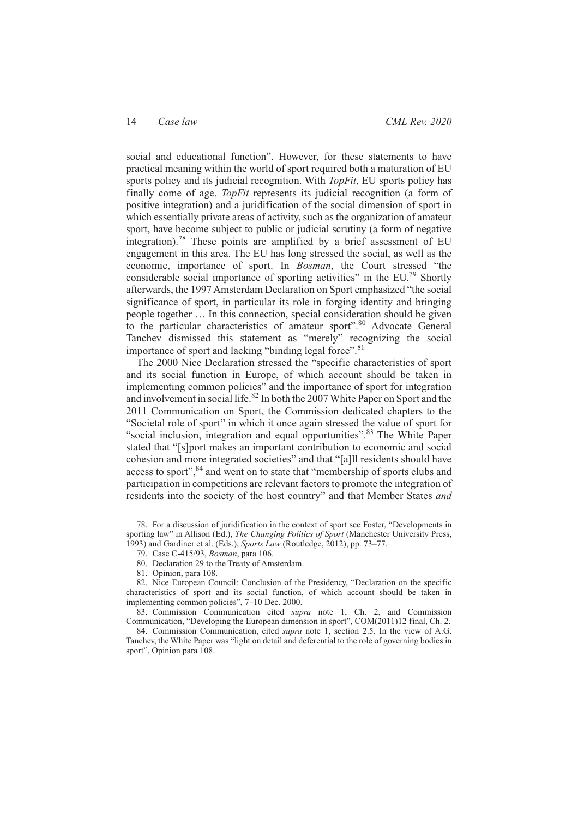social and educational function". However, for these statements to have practical meaning within the world of sport required both a maturation of EU sports policy and its judicial recognition. With *TopFit*, EU sports policy has finally come of age. *TopFit* represents its judicial recognition (a form of positive integration) and a juridification of the social dimension of sport in which essentially private areas of activity, such as the organization of amateur sport, have become subject to public or judicial scrutiny (a form of negative integration).<sup>78</sup> These points are amplified by a brief assessment of EU engagement in this area. The EU has long stressed the social, as well as the economic, importance of sport. In *Bosman*, the Court stressed "the considerable social importance of sporting activities" in the EU.<sup>79</sup> Shortly afterwards, the 1997 Amsterdam Declaration on Sport emphasized "the social significance of sport, in particular its role in forging identity and bringing people together … In this connection, special consideration should be given to the particular characteristics of amateur sport".<sup>80</sup> Advocate General Tanchev dismissed this statement as "merely" recognizing the social importance of sport and lacking "binding legal force".<sup>81</sup>

The 2000 Nice Declaration stressed the "specific characteristics of sport and its social function in Europe, of which account should be taken in implementing common policies" and the importance of sport for integration and involvement in social life.<sup>82</sup> In both the 2007 White Paper on Sport and the 2011 Communication on Sport, the Commission dedicated chapters to the "Societal role of sport" in which it once again stressed the value of sport for "social inclusion, integration and equal opportunities".<sup>83</sup> The White Paper stated that "[s]port makes an important contribution to economic and social cohesion and more integrated societies" and that "[a]ll residents should have access to sport",<sup>84</sup> and went on to state that "membership of sports clubs and participation in competitions are relevant factors to promote the integration of residents into the society of the host country" and that Member States *and*

80. Declaration 29 to the Treaty of Amsterdam.

81. Opinion, para 108.

82. Nice European Council: Conclusion of the Presidency, "Declaration on the specific characteristics of sport and its social function, of which account should be taken in implementing common policies", 7–10 Dec. 2000.

83. Commission Communication cited *supra* note 1, Ch. 2, and Commission Communication, "Developing the European dimension in sport", COM(2011)12 final, Ch. 2.

84. Commission Communication, cited *supra* note 1, section 2.5. In the view of A.G. Tanchev, the White Paper was "light on detail and deferential to the role of governing bodies in sport", Opinion para 108.

<sup>78.</sup> For a discussion of juridification in the context of sport see Foster, "Developments in sporting law" in Allison (Ed.), *The Changing Politics of Sport* (Manchester University Press, 1993) and Gardiner et al. (Eds.), *Sports Law* (Routledge, 2012), pp. 73–77.

<sup>79.</sup> Case C-415/93, *Bosman*, para 106.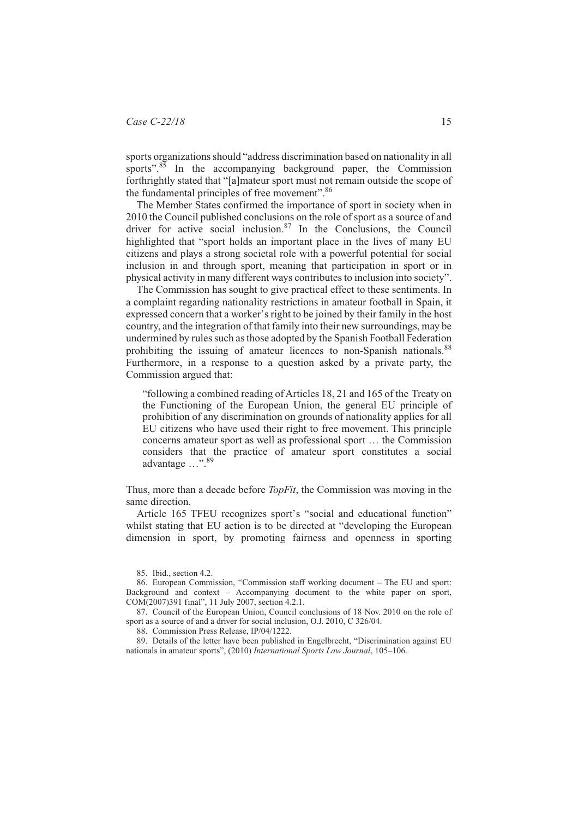sports organizations should "address discrimination based on nationality in all sports".<sup>85</sup> In the accompanying background paper, the Commission forthrightly stated that "[a]mateur sport must not remain outside the scope of the fundamental principles of free movement".<sup>86</sup>

The Member States confirmed the importance of sport in society when in 2010 the Council published conclusions on the role of sport as a source of and driver for active social inclusion.<sup>87</sup> In the Conclusions, the Council highlighted that "sport holds an important place in the lives of many EU citizens and plays a strong societal role with a powerful potential for social inclusion in and through sport, meaning that participation in sport or in physical activity in many different ways contributes to inclusion into society".

The Commission has sought to give practical effect to these sentiments. In a complaint regarding nationality restrictions in amateur football in Spain, it expressed concern that a worker's right to be joined by their family in the host country, and the integration of that family into their new surroundings, may be undermined by rules such as those adopted by the Spanish Football Federation prohibiting the issuing of amateur licences to non-Spanish nationals.<sup>88</sup> Furthermore, in a response to a question asked by a private party, the Commission argued that:

"following a combined reading of Articles 18, 21 and 165 of the Treaty on the Functioning of the European Union, the general EU principle of prohibition of any discrimination on grounds of nationality applies for all EU citizens who have used their right to free movement. This principle concerns amateur sport as well as professional sport … the Commission considers that the practice of amateur sport constitutes a social advantage …".<sup>89</sup>

Thus, more than a decade before *TopFit*, the Commission was moving in the same direction.

Article 165 TFEU recognizes sport's "social and educational function" whilst stating that EU action is to be directed at "developing the European dimension in sport, by promoting fairness and openness in sporting

87. Council of the European Union, Council conclusions of 18 Nov. 2010 on the role of sport as a source of and a driver for social inclusion, O.J. 2010, C 326/04.

88. Commission Press Release, IP/04/1222.

89. Details of the letter have been published in Engelbrecht, "Discrimination against EU nationals in amateur sports", (2010) *International Sports Law Journal*, 105–106.

<sup>85.</sup> Ibid., section 4.2.

<sup>86.</sup> European Commission, "Commission staff working document – The EU and sport: Background and context – Accompanying document to the white paper on sport, COM(2007)391 final", 11 July 2007, section 4.2.1.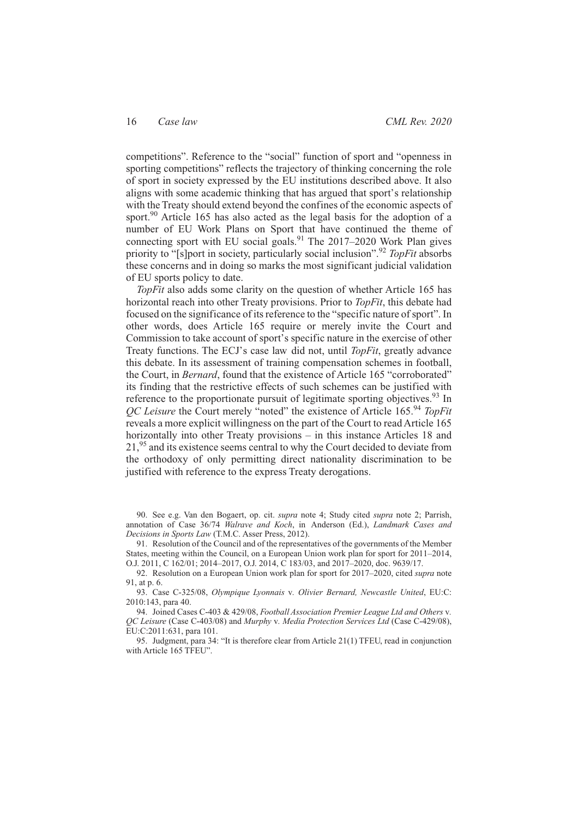competitions". Reference to the "social" function of sport and "openness in sporting competitions" reflects the trajectory of thinking concerning the role of sport in society expressed by the EU institutions described above. It also aligns with some academic thinking that has argued that sport's relationship with the Treaty should extend beyond the confines of the economic aspects of sport.<sup>90</sup> Article 165 has also acted as the legal basis for the adoption of a number of EU Work Plans on Sport that have continued the theme of connecting sport with EU social goals.<sup>91</sup> The  $2017-2020$  Work Plan gives priority to "[s]port in society, particularly social inclusion".<sup>92</sup> *TopFit* absorbs these concerns and in doing so marks the most significant judicial validation of EU sports policy to date.

*TopFit* also adds some clarity on the question of whether Article 165 has horizontal reach into other Treaty provisions. Prior to *TopFit*, this debate had focused on the significance of its reference to the "specific nature of sport". In other words, does Article 165 require or merely invite the Court and Commission to take account of sport's specific nature in the exercise of other Treaty functions. The ECJ's case law did not, until *TopFit*, greatly advance this debate. In its assessment of training compensation schemes in football, the Court, in *Bernard*, found that the existence of Article 165 "corroborated" its finding that the restrictive effects of such schemes can be justified with reference to the proportionate pursuit of legitimate sporting objectives.<sup>93</sup> In *QC Leisure* the Court merely "noted" the existence of Article 165.<sup>94</sup> *TopFit* reveals a more explicit willingness on the part of the Court to read Article 165 horizontally into other Treaty provisions – in this instance Articles 18 and 21,<sup>95</sup> and its existence seems central to why the Court decided to deviate from the orthodoxy of only permitting direct nationality discrimination to be justified with reference to the express Treaty derogations.

90. See e.g. Van den Bogaert, op. cit. *supra* note 4; Study cited *supra* note 2; Parrish, annotation of Case 36/74 *Walrave and Koch*, in Anderson (Ed.), *Landmark Cases and Decisions in Sports Law* (T.M.C. Asser Press, 2012).

91. Resolution of the Council and of the representatives of the governments of the Member States, meeting within the Council, on a European Union work plan for sport for 2011–2014, O.J. 2011, C 162/01; 2014–2017, O.J. 2014, C 183/03, and 2017–2020, doc. 9639/17.

92. Resolution on a European Union work plan for sport for 2017–2020, cited *supra* note 91, at p. 6.

93. Case C-325/08, *Olympique Lyonnais* v*. Olivier Bernard, Newcastle United*, EU:C: 2010:143, para 40.

94. Joined Cases C-403 & 429/08, *Football Association Premier League Ltd and Others* v*. QC Leisure* (Case C-403/08) and *Murphy* v*. Media Protection Services Ltd* (Case C-429/08), EU:C:2011:631, para 101.

95. Judgment, para 34: "It is therefore clear from Article 21(1) TFEU, read in conjunction with Article 165 TFEU".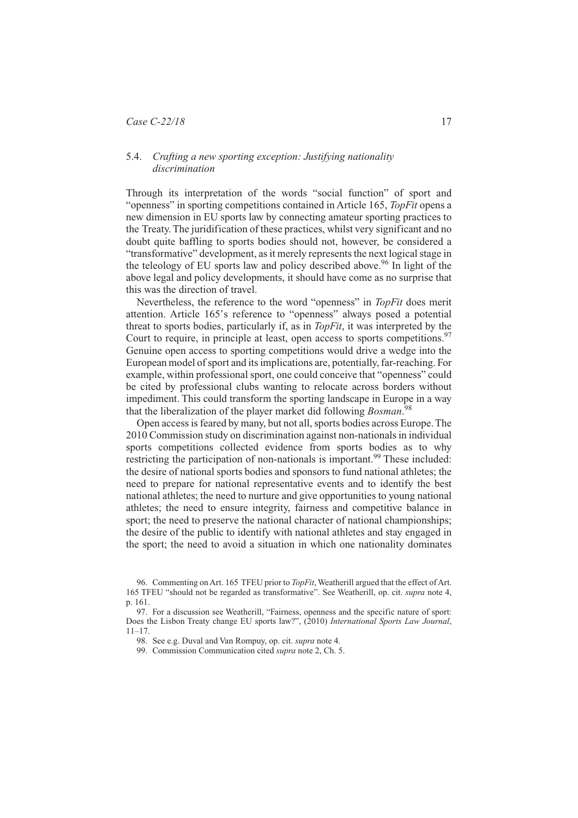# 5.4. *Crafting a new sporting exception: Justifying nationality discrimination*

Through its interpretation of the words "social function" of sport and "openness" in sporting competitions contained in Article 165, *TopFit* opens a new dimension in EU sports law by connecting amateur sporting practices to the Treaty. The juridification of these practices, whilst very significant and no doubt quite baffling to sports bodies should not, however, be considered a "transformative" development, as it merely represents the next logical stage in the teleology of EU sports law and policy described above.<sup>96</sup> In light of the above legal and policy developments, it should have come as no surprise that this was the direction of travel.

Nevertheless, the reference to the word "openness" in *TopFit* does merit attention. Article 165's reference to "openness" always posed a potential threat to sports bodies, particularly if, as in *TopFit*, it was interpreted by the Court to require, in principle at least, open access to sports competitions.  $97$ Genuine open access to sporting competitions would drive a wedge into the European model of sport and its implications are, potentially, far-reaching. For example, within professional sport, one could conceive that "openness" could be cited by professional clubs wanting to relocate across borders without impediment. This could transform the sporting landscape in Europe in a way that the liberalization of the player market did following *Bosman*. 98

Open access is feared by many, but not all, sports bodies across Europe. The 2010 Commission study on discrimination against non-nationals in individual sports competitions collected evidence from sports bodies as to why restricting the participation of non-nationals is important.<sup>99</sup> These included: the desire of national sports bodies and sponsors to fund national athletes; the need to prepare for national representative events and to identify the best national athletes; the need to nurture and give opportunities to young national athletes; the need to ensure integrity, fairness and competitive balance in sport; the need to preserve the national character of national championships; the desire of the public to identify with national athletes and stay engaged in the sport; the need to avoid a situation in which one nationality dominates

<sup>96.</sup> Commenting on Art. 165 TFEU prior to *TopFit*, Weatherill argued that the effect of Art. 165 TFEU "should not be regarded as transformative". See Weatherill, op. cit. *supra* note 4, p. 161.

<sup>97.</sup> For a discussion see Weatherill, "Fairness, openness and the specific nature of sport: Does the Lisbon Treaty change EU sports law?", (2010) *International Sports Law Journal*, 11–17.

<sup>98.</sup> See e.g. Duval and Van Rompuy, op. cit. *supra* note 4.

<sup>99.</sup> Commission Communication cited *supra* note 2, Ch. 5.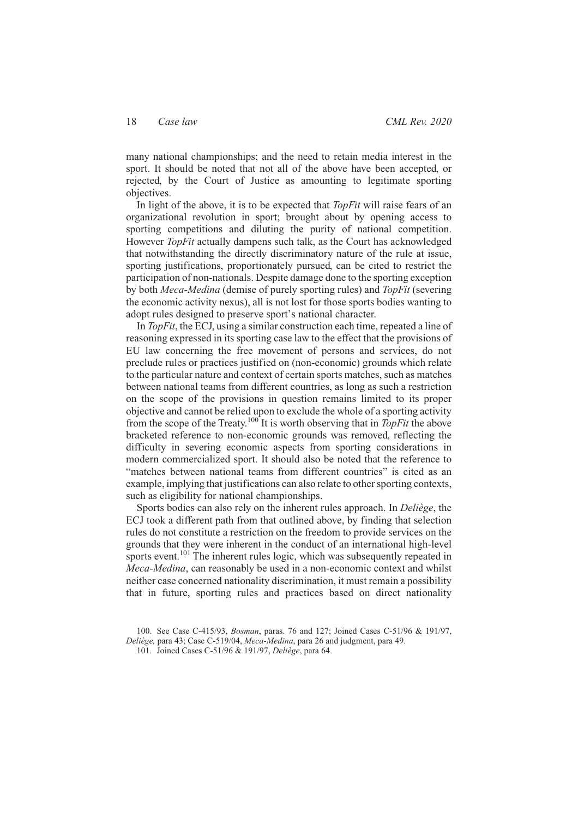many national championships; and the need to retain media interest in the sport. It should be noted that not all of the above have been accepted, or rejected, by the Court of Justice as amounting to legitimate sporting objectives.

In light of the above, it is to be expected that *TopFit* will raise fears of an organizational revolution in sport; brought about by opening access to sporting competitions and diluting the purity of national competition. However *TopFit* actually dampens such talk, as the Court has acknowledged that notwithstanding the directly discriminatory nature of the rule at issue, sporting justifications, proportionately pursued, can be cited to restrict the participation of non-nationals. Despite damage done to the sporting exception by both *Meca-Medina* (demise of purely sporting rules) and *TopFit* (severing the economic activity nexus), all is not lost for those sports bodies wanting to adopt rules designed to preserve sport's national character.

In *TopFit*, the ECJ, using a similar construction each time, repeated a line of reasoning expressed in its sporting case law to the effect that the provisions of EU law concerning the free movement of persons and services, do not preclude rules or practices justified on (non-economic) grounds which relate to the particular nature and context of certain sports matches, such as matches between national teams from different countries, as long as such a restriction on the scope of the provisions in question remains limited to its proper objective and cannot be relied upon to exclude the whole of a sporting activity from the scope of the Treaty.<sup>100</sup> It is worth observing that in *TopFit* the above bracketed reference to non-economic grounds was removed, reflecting the difficulty in severing economic aspects from sporting considerations in modern commercialized sport. It should also be noted that the reference to "matches between national teams from different countries" is cited as an example, implying that justifications can also relate to other sporting contexts, such as eligibility for national championships.

Sports bodies can also rely on the inherent rules approach. In *Deliège*, the ECJ took a different path from that outlined above, by finding that selection rules do not constitute a restriction on the freedom to provide services on the grounds that they were inherent in the conduct of an international high-level sports event.<sup>101</sup> The inherent rules logic, which was subsequently repeated in *Meca-Medina*, can reasonably be used in a non-economic context and whilst neither case concerned nationality discrimination, it must remain a possibility that in future, sporting rules and practices based on direct nationality

<sup>100.</sup> See Case C-415/93, *Bosman*, paras. 76 and 127; Joined Cases C-51/96 & 191/97, *Deliège,* para 43; Case C-519/04, *Meca-Medina*, para 26 and judgment, para 49.

<sup>101.</sup> Joined Cases C-51/96 & 191/97, *Deliège*, para 64.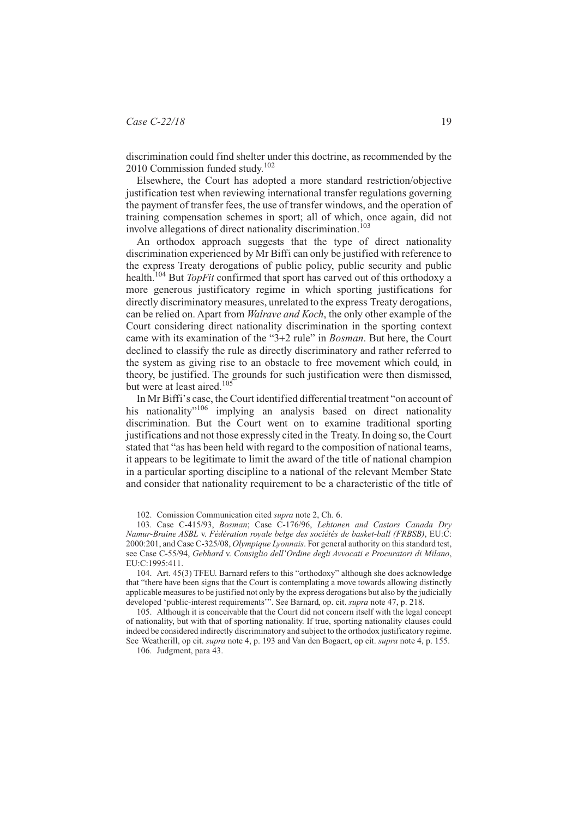discrimination could find shelter under this doctrine, as recommended by the 2010 Commission funded study.<sup>102</sup>

Elsewhere, the Court has adopted a more standard restriction/objective justification test when reviewing international transfer regulations governing the payment of transfer fees, the use of transfer windows, and the operation of training compensation schemes in sport; all of which, once again, did not involve allegations of direct nationality discrimination.<sup>103</sup>

An orthodox approach suggests that the type of direct nationality discrimination experienced by Mr Biffi can only be justified with reference to the express Treaty derogations of public policy, public security and public health.<sup>104</sup> But *TopFit* confirmed that sport has carved out of this orthodoxy a more generous justificatory regime in which sporting justifications for directly discriminatory measures, unrelated to the express Treaty derogations, can be relied on. Apart from *Walrave and Koch*, the only other example of the Court considering direct nationality discrimination in the sporting context came with its examination of the "3+2 rule" in *Bosman*. But here, the Court declined to classify the rule as directly discriminatory and rather referred to the system as giving rise to an obstacle to free movement which could, in theory, be justified. The grounds for such justification were then dismissed, but were at least aired.<sup>105</sup>

In Mr Biffi's case, the Court identified differential treatment "on account of his nationality"<sup>106</sup> implying an analysis based on direct nationality discrimination. But the Court went on to examine traditional sporting justifications and not those expressly cited in the Treaty. In doing so, the Court stated that "as has been held with regard to the composition of national teams, it appears to be legitimate to limit the award of the title of national champion in a particular sporting discipline to a national of the relevant Member State and consider that nationality requirement to be a characteristic of the title of

102. Comission Communication cited *supra* note 2, Ch. 6.

103. Case C-415/93, *Bosman*; Case C-176/96, *Lehtonen and Castors Canada Dry Namur-Braine ASBL* v. *Fédération royale belge des sociétés de basket-ball (FRBSB)*, EU:C: 2000:201, and Case C-325/08, *Olympique Lyonnais*. For general authority on this standard test, see Case C-55/94, *Gebhard* v. *Consiglio dell'Ordine degli Avvocati e Procuratori di Milano*, EU:C:1995:411.

104. Art. 45(3) TFEU. Barnard refers to this "orthodoxy" although she does acknowledge that "there have been signs that the Court is contemplating a move towards allowing distinctly applicable measures to be justified not only by the express derogations but also by the judicially developed 'public-interest requirements'". See Barnard, op. cit. *supra* note 47, p. 218.

105. Although it is conceivable that the Court did not concern itself with the legal concept of nationality, but with that of sporting nationality. If true, sporting nationality clauses could indeed be considered indirectly discriminatory and subject to the orthodox justificatory regime. See Weatherill, op cit. *supra* note 4, p. 193 and Van den Bogaert, op cit. *supra* note 4, p. 155.

106. Judgment, para 43.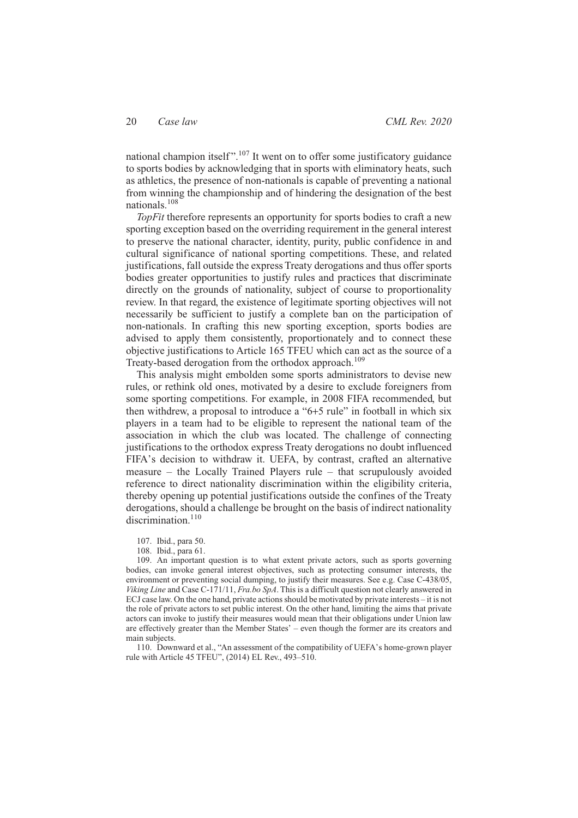national champion itself".<sup>107</sup> It went on to offer some justificatory guidance to sports bodies by acknowledging that in sports with eliminatory heats, such as athletics, the presence of non-nationals is capable of preventing a national from winning the championship and of hindering the designation of the best nationals.108

*TopFit* therefore represents an opportunity for sports bodies to craft a new sporting exception based on the overriding requirement in the general interest to preserve the national character, identity, purity, public confidence in and cultural significance of national sporting competitions. These, and related justifications, fall outside the express Treaty derogations and thus offer sports bodies greater opportunities to justify rules and practices that discriminate directly on the grounds of nationality, subject of course to proportionality review. In that regard, the existence of legitimate sporting objectives will not necessarily be sufficient to justify a complete ban on the participation of non-nationals. In crafting this new sporting exception, sports bodies are advised to apply them consistently, proportionately and to connect these objective justifications to Article 165 TFEU which can act as the source of a Treaty-based derogation from the orthodox approach.<sup>109</sup>

This analysis might embolden some sports administrators to devise new rules, or rethink old ones, motivated by a desire to exclude foreigners from some sporting competitions. For example, in 2008 FIFA recommended, but then withdrew, a proposal to introduce a "6+5 rule" in football in which six players in a team had to be eligible to represent the national team of the association in which the club was located. The challenge of connecting justifications to the orthodox express Treaty derogations no doubt influenced FIFA's decision to withdraw it. UEFA, by contrast, crafted an alternative measure – the Locally Trained Players rule – that scrupulously avoided reference to direct nationality discrimination within the eligibility criteria, thereby opening up potential justifications outside the confines of the Treaty derogations, should a challenge be brought on the basis of indirect nationality discrimination.<sup>110</sup>

107. Ibid., para 50.

109. An important question is to what extent private actors, such as sports governing bodies, can invoke general interest objectives, such as protecting consumer interests, the environment or preventing social dumping, to justify their measures. See e.g. Case C-438/05, *Viking Line* and Case C-171/11, *Fra.bo SpA*. This is a difficult question not clearly answered in ECJ case law. On the one hand, private actions should be motivated by private interests – it is not the role of private actors to set public interest. On the other hand, limiting the aims that private actors can invoke to justify their measures would mean that their obligations under Union law are effectively greater than the Member States' – even though the former are its creators and main subjects.

110. Downward et al., "An assessment of the compatibility of UEFA's home-grown player rule with Article 45 TFEU", (2014) EL Rev., 493–510.

<sup>108.</sup> Ibid., para 61.